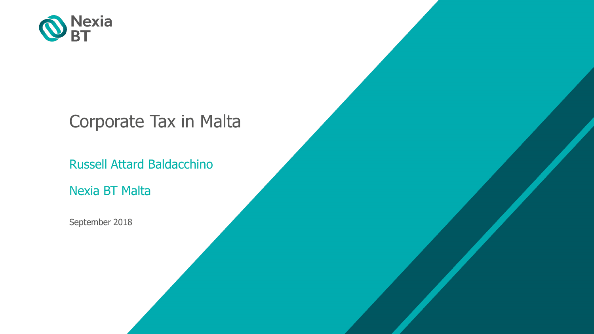

### Corporate Tax in Malta

Russell Attard Baldacchino

Nexia BT Malta

September 2018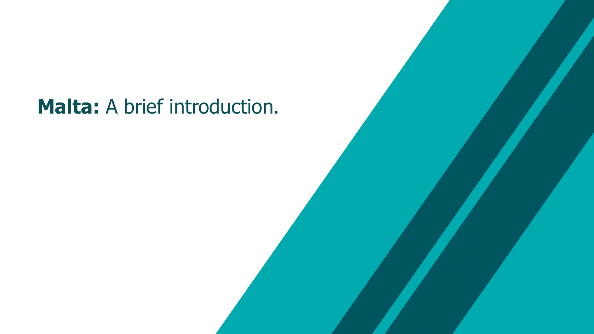## **Malta:** A brief introduction.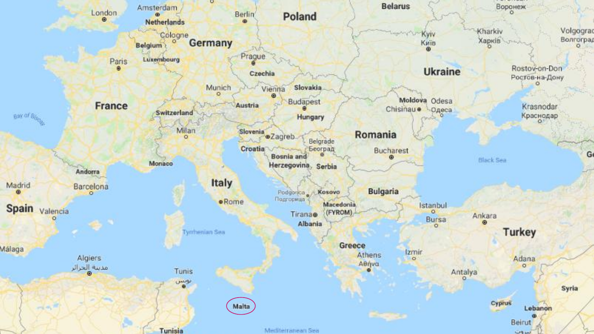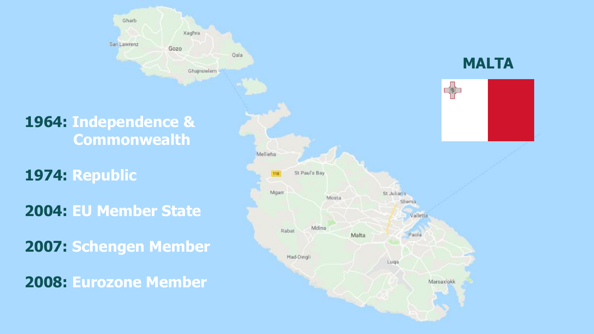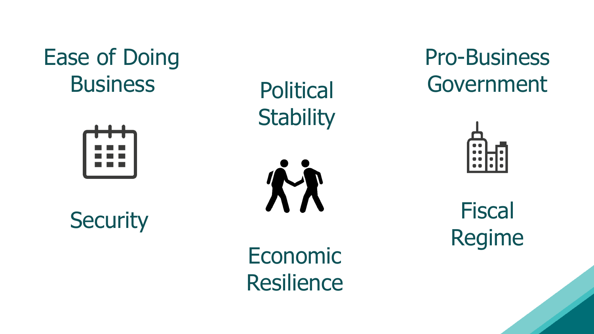Ease of Doing **Business** 



| <b>Security</b> |  |  |  |
|-----------------|--|--|--|
|-----------------|--|--|--|

**Political Stability** 



Economic **Resilience**  Pro-Business Government



**Fiscal** Regime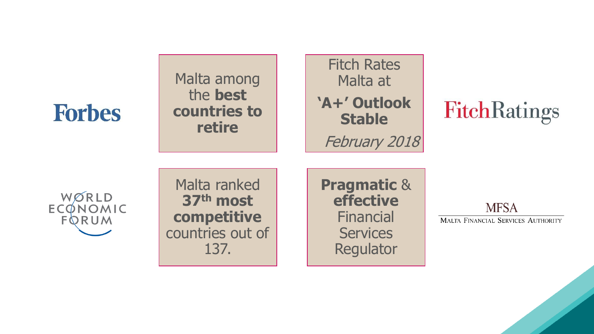## **Forbes**

Malta among the **best countries to retire**

Fitch Rates Malta at **'A+' Outlook Stable**  February 2018

**FitchRatings** 

WØRLD<br>ECØNOMIC FORUM

Malta ranked **37th most competitive**  countries out of 137.

**Pragmatic** & **effective**  Financial **Services** Regulator

**MFSA MALTA FINANCIAL SERVICES AUTHORITY**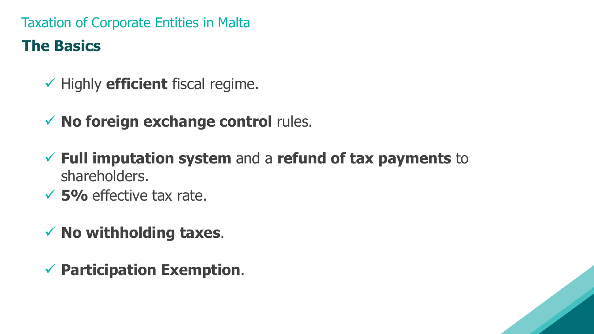#### **The Basics**

- $\checkmark$  Highly **efficient** fiscal regime.
- **√ No foreign exchange control rules.**
- **Full imputation system** and a **refund of tax payments** to shareholders.
- **5%** effective tax rate.
- **No withholding taxes**.
- **Participation Exemption**.

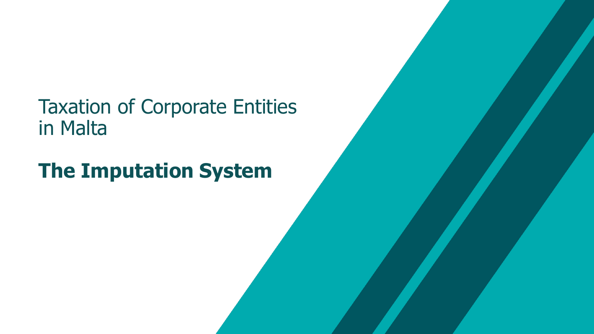## **The Imputation System**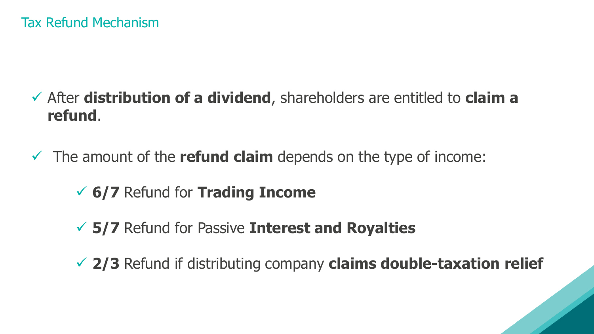- After **distribution of a dividend**, shareholders are entitled to **claim a refund**.
- $\checkmark$  The amount of the **refund claim** depends on the type of income:
	- **6/7** Refund for **Trading Income**
	- **5/7** Refund for Passive **Interest and Royalties**
	- **2/3** Refund if distributing company **claims double-taxation relief**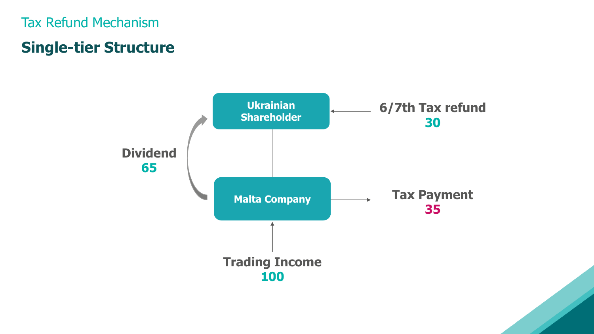Tax Refund Mechanism

#### **Single-tier Structure**

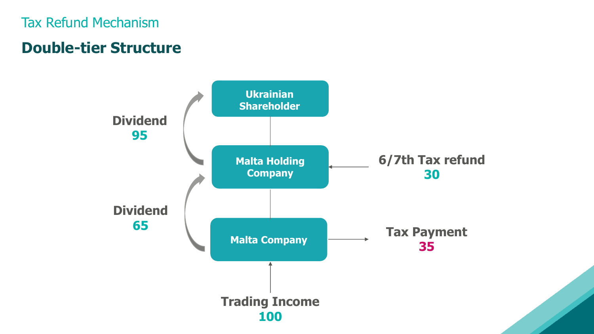Tax Refund Mechanism

#### **Double-tier Structure**

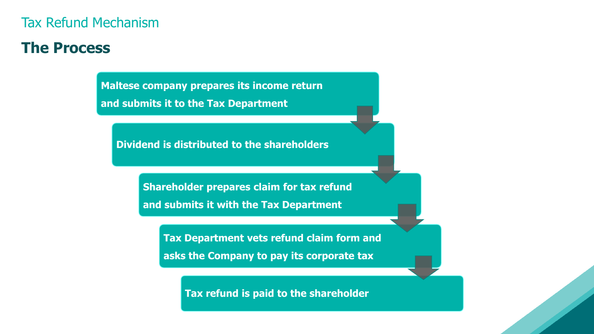#### Tax Refund Mechanism

#### **The Process**

**Maltese company prepares its income return and submits it to the Tax Department**

**Dividend is distributed to the shareholders**

**Shareholder prepares claim for tax refund and submits it with the Tax Department**

**Tax Department vets refund claim form and asks the Company to pay its corporate tax**

**Tax refund is paid to the shareholder**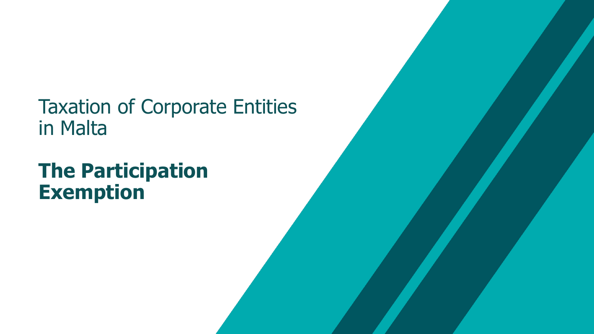### **The Participation Exemption**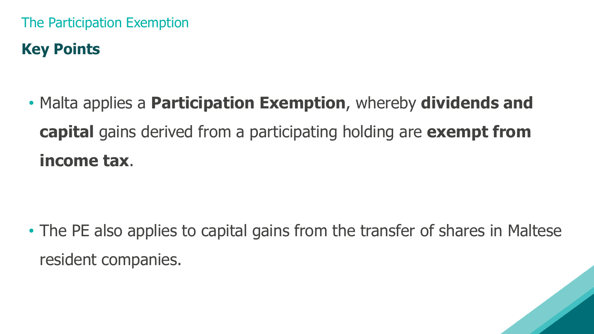### **Key Points**

• Malta applies a **Participation Exemption**, whereby **dividends and capital** gains derived from a participating holding are **exempt from income tax**.

• The PE also applies to capital gains from the transfer of shares in Maltese resident companies.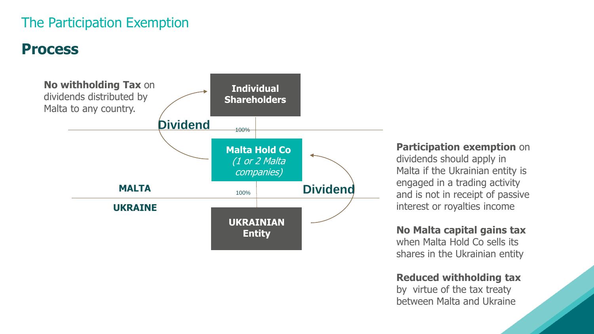#### The Participation Exemption

#### **Process**



**Participation exemption** on

dividends should apply in Malta if the Ukrainian entity is engaged in a trading activity and is not in receipt of passive interest or royalties income

#### **No Malta capital gains tax**

when Malta Hold Co sells its shares in the Ukrainian entity

#### **Reduced withholding tax**

by virtue of the tax treaty between Malta and Ukraine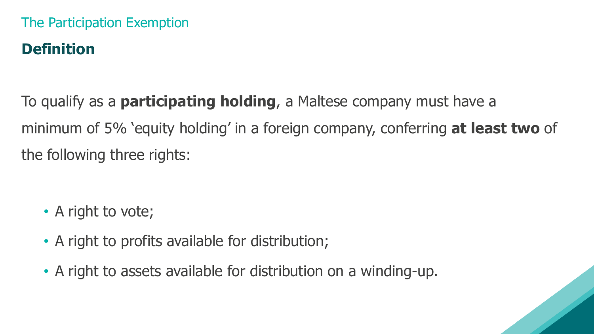### **Definition**

To qualify as a **participating holding**, a Maltese company must have a minimum of 5% 'equity holding' in a foreign company, conferring **at least two** of the following three rights:

- A right to vote;
- A right to profits available for distribution;
- A right to assets available for distribution on a winding-up.

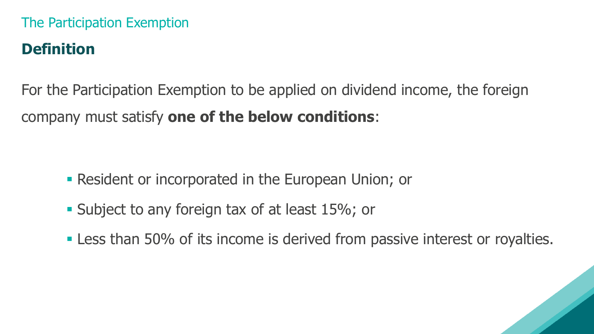### **Definition**

For the Participation Exemption to be applied on dividend income, the foreign company must satisfy **one of the below conditions**:

- **Resident or incorporated in the European Union; or**
- Subject to any foreign tax of at least 15%; or
- **Less than 50% of its income is derived from passive interest or royalties.**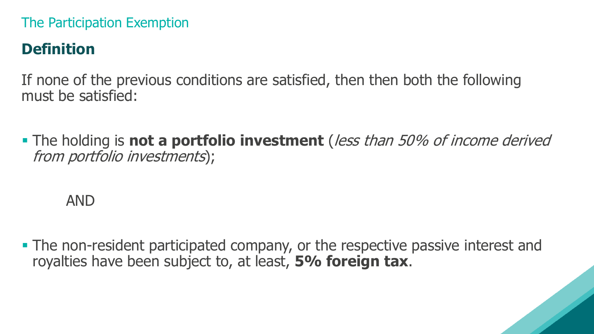#### The Participation Exemption

### **Definition**

If none of the previous conditions are satisfied, then then both the following must be satisfied:

**The holding is not a portfolio investment** (*less than 50% of income derived* from portfolio investments);

AND

• The non-resident participated company, or the respective passive interest and royalties have been subject to, at least, **5% foreign tax**.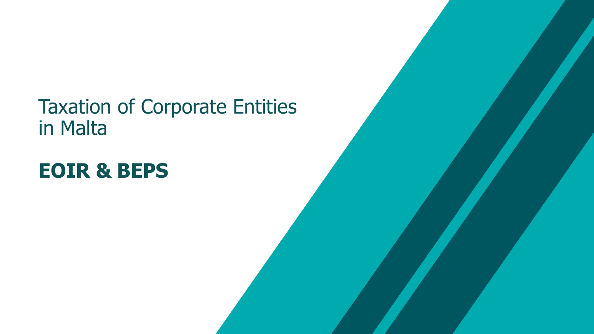## **EOIR & BEPS**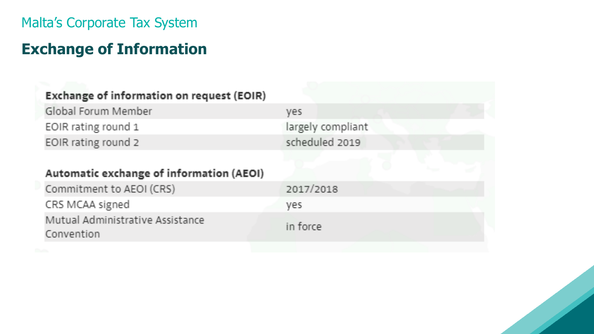#### Malta's Corporate Tax System

#### **Exchange of Information**

| Exchange of information on request (EOIR)      |                   |
|------------------------------------------------|-------------------|
| Global Forum Member                            | <b>yes</b>        |
| EOIR rating round 1                            | largely compliant |
| EOIR rating round 2                            | scheduled 2019    |
|                                                |                   |
| Automatic exchange of information (AEOI)       |                   |
| Commitment to AEOI (CRS)                       | 2017/2018         |
| CRS MCAA signed                                | ves               |
| Mutual Administrative Assistance<br>Convention | in force          |
|                                                |                   |

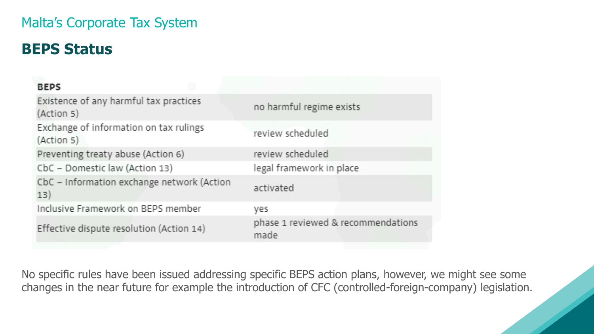#### Malta's Corporate Tax System

#### **BEPS Status**

| <b>BEPS</b>                                          |                                            |
|------------------------------------------------------|--------------------------------------------|
| Existence of any harmful tax practices<br>(Action 5) | no harmful regime exists                   |
| Exchange of information on tax rulings<br>(Action 5) | review scheduled                           |
| Preventing treaty abuse (Action 6)                   | review scheduled                           |
| CbC - Domestic law (Action 13)                       | legal framework in place                   |
| CbC - Information exchange network (Action<br>13)    | activated                                  |
| Inclusive Framework on BEPS member                   | yes                                        |
| Effective dispute resolution (Action 14)             | phase 1 reviewed & recommendations<br>made |

No specific rules have been issued addressing specific BEPS action plans, however, we might see some changes in the near future for example the introduction of CFC (controlled-foreign-company) legislation.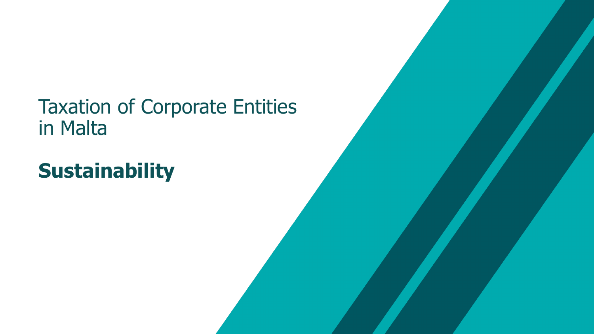## **Sustainability**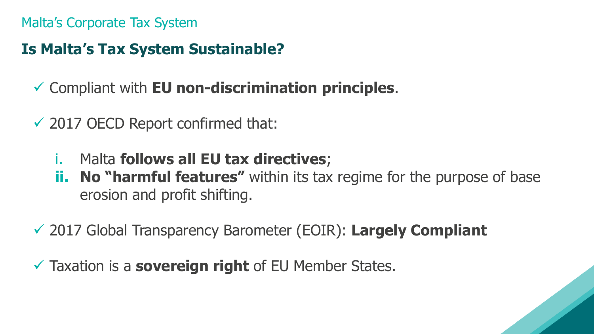Malta's Corporate Tax System

#### **Is Malta's Tax System Sustainable?**

- Compliant with **EU non-discrimination principles**.
- $\checkmark$  2017 OECD Report confirmed that:
	- i. Malta **follows all EU tax directives**;
	- **ii.** No "harmful features" within its tax regime for the purpose of base erosion and profit shifting.
- 2017 Global Transparency Barometer (EOIR): **Largely Compliant**
- Taxation is a **sovereign right** of EU Member States.